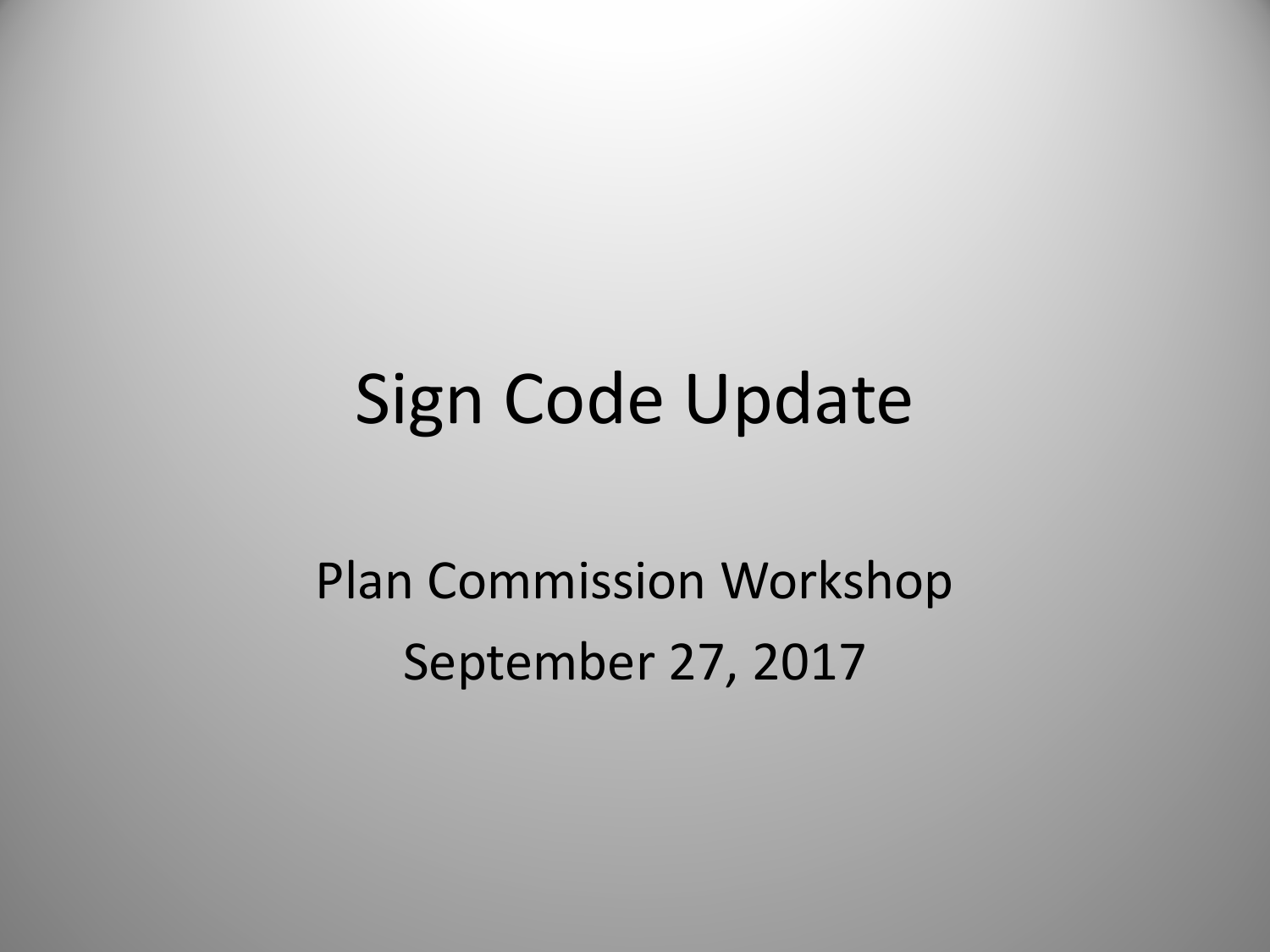#### Sign Code Update

Plan Commission Workshop September 27, 2017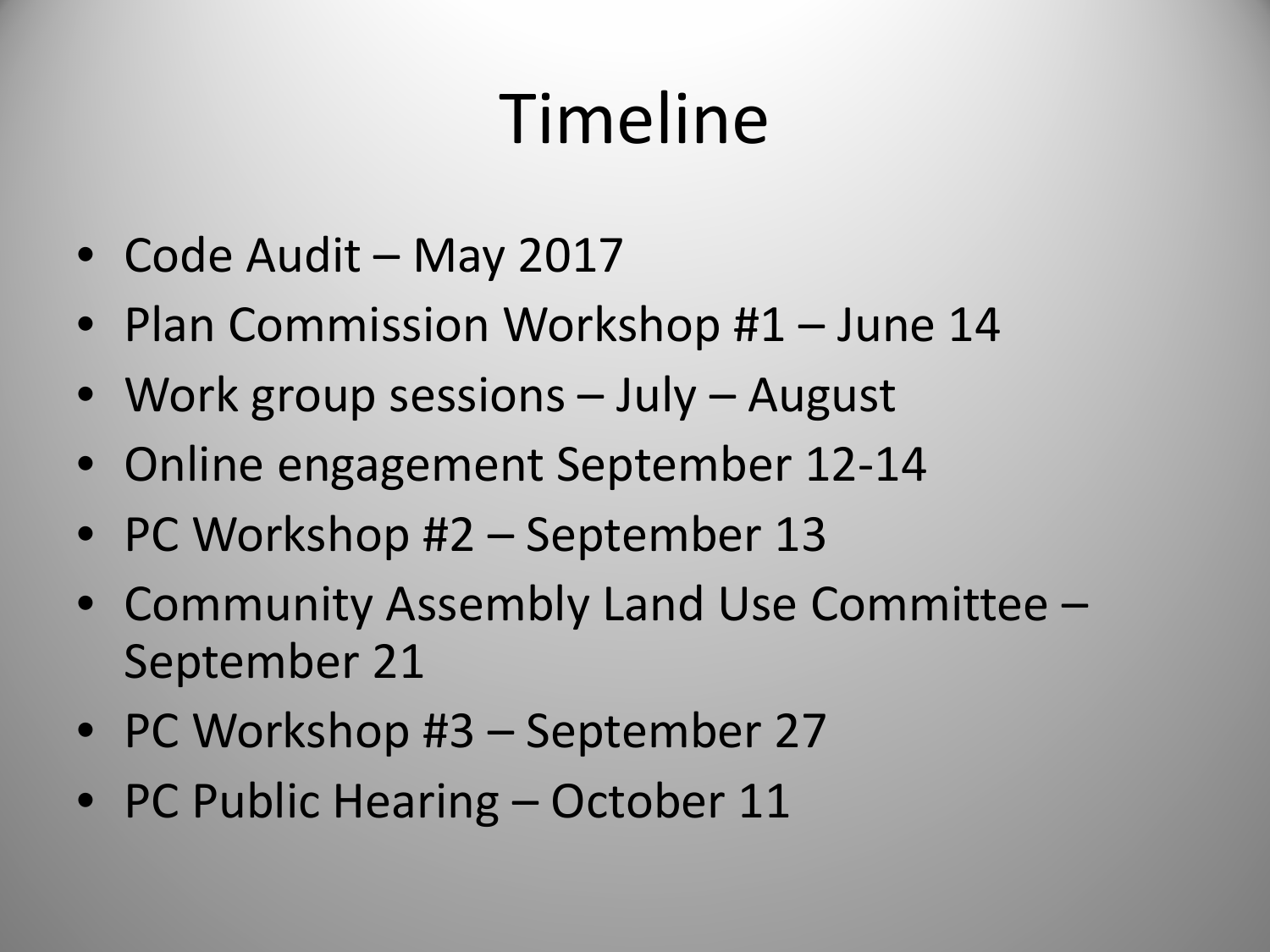## Timeline

- Code Audit May 2017
- Plan Commission Workshop #1 June 14
- Work group sessions July August
- Online engagement September 12-14
- PC Workshop #2 September 13
- Community Assembly Land Use Committee September 21
- PC Workshop #3 September 27
- PC Public Hearing October 11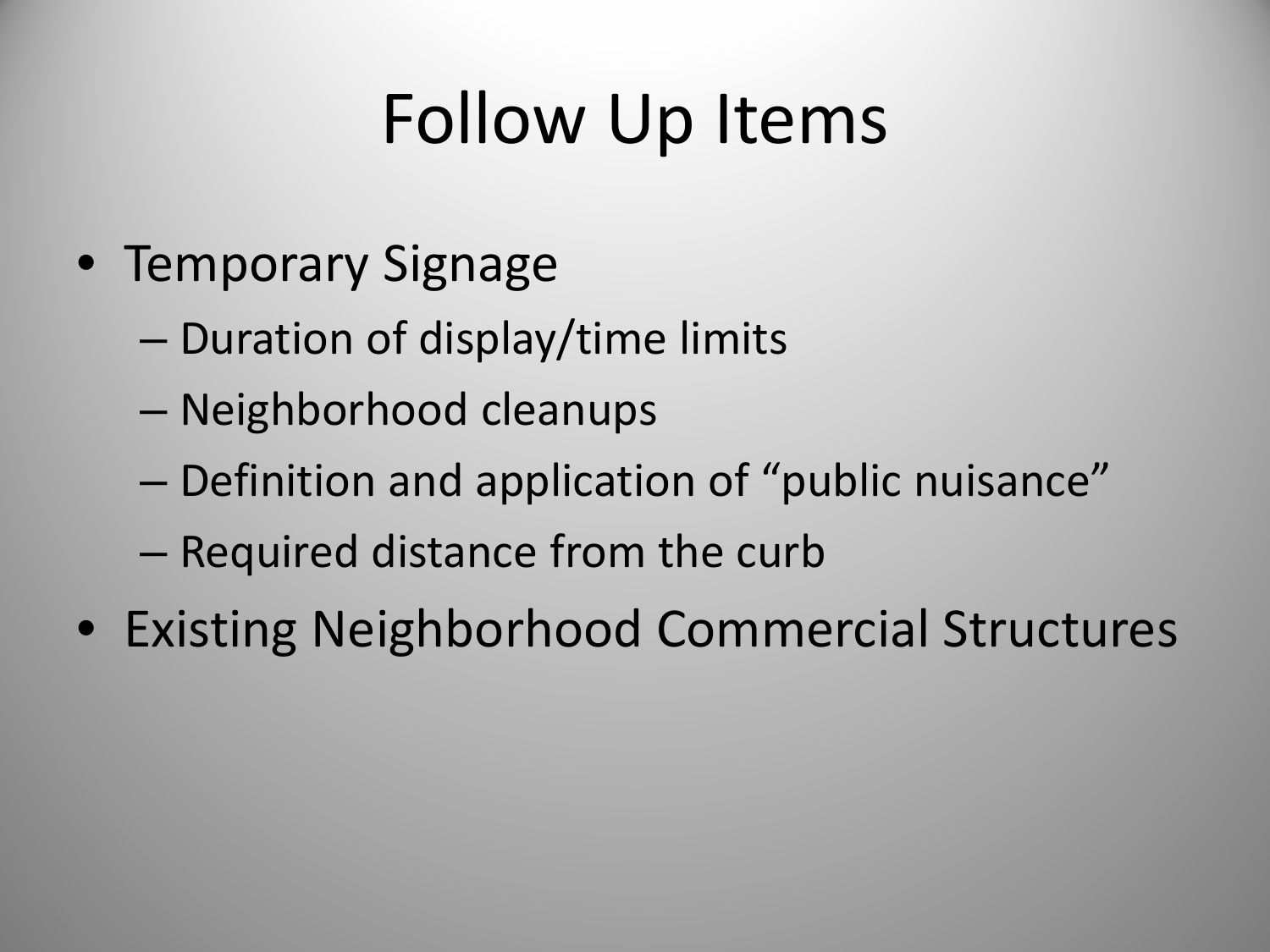## Follow Up Items

- Temporary Signage
	- Duration of display/time limits
	- Neighborhood cleanups
	- Definition and application of "public nuisance"
	- Required distance from the curb
- Existing Neighborhood Commercial Structures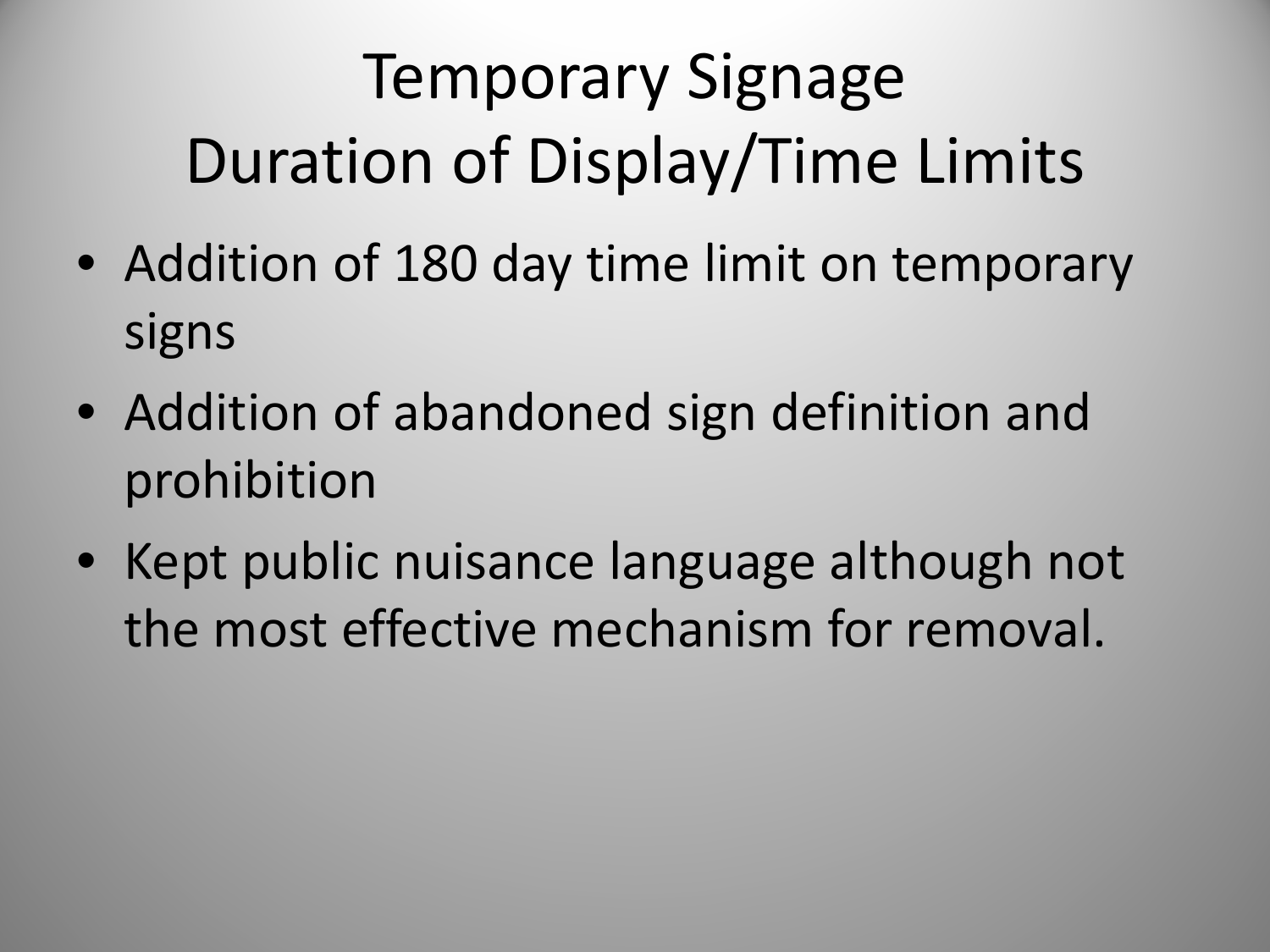## Temporary Signage Duration of Display/Time Limits

- Addition of 180 day time limit on temporary signs
- Addition of abandoned sign definition and prohibition
- Kept public nuisance language although not the most effective mechanism for removal.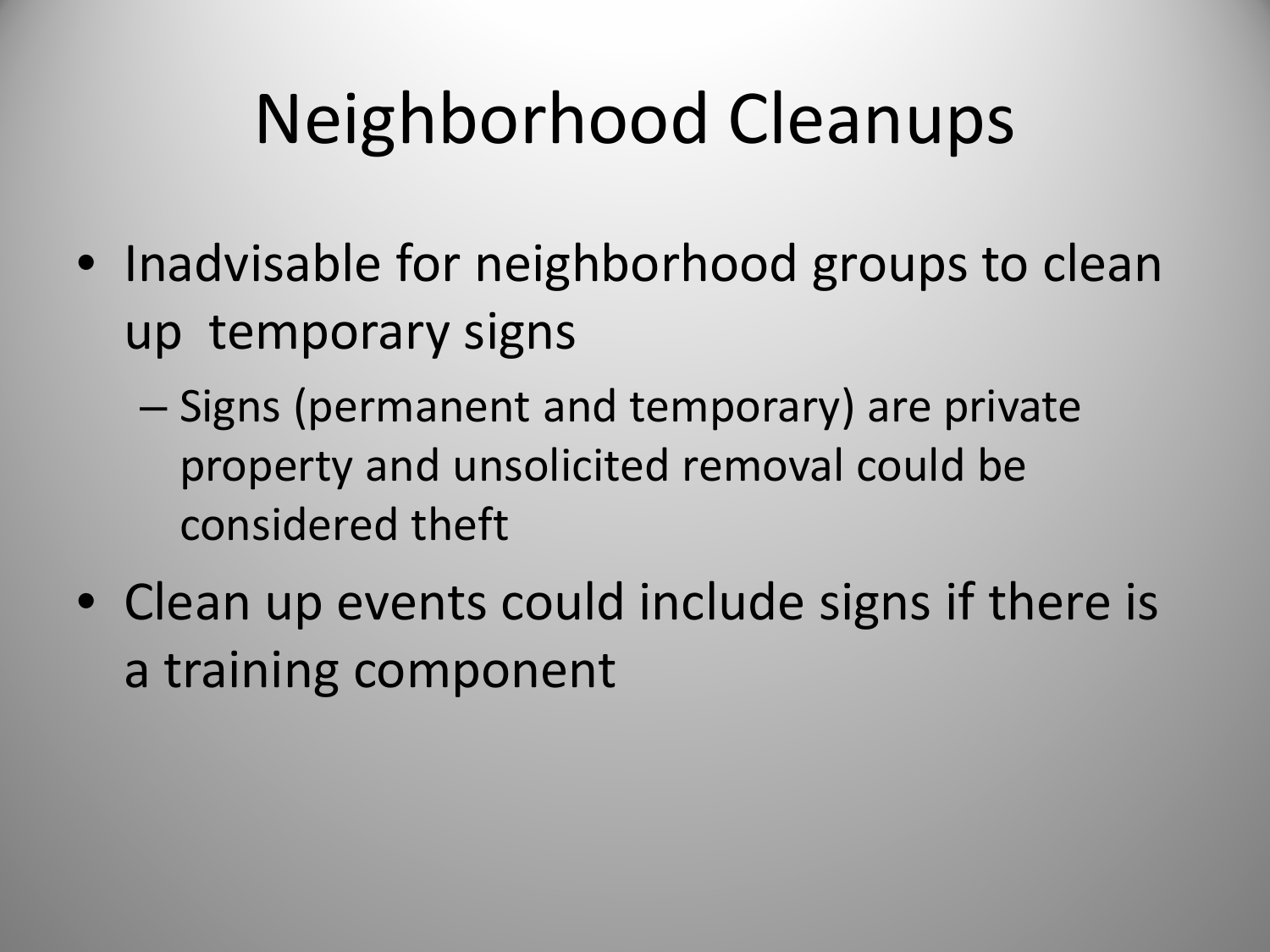## Neighborhood Cleanups

- Inadvisable for neighborhood groups to clean up temporary signs
	- Signs (permanent and temporary) are private property and unsolicited removal could be considered theft
- Clean up events could include signs if there is a training component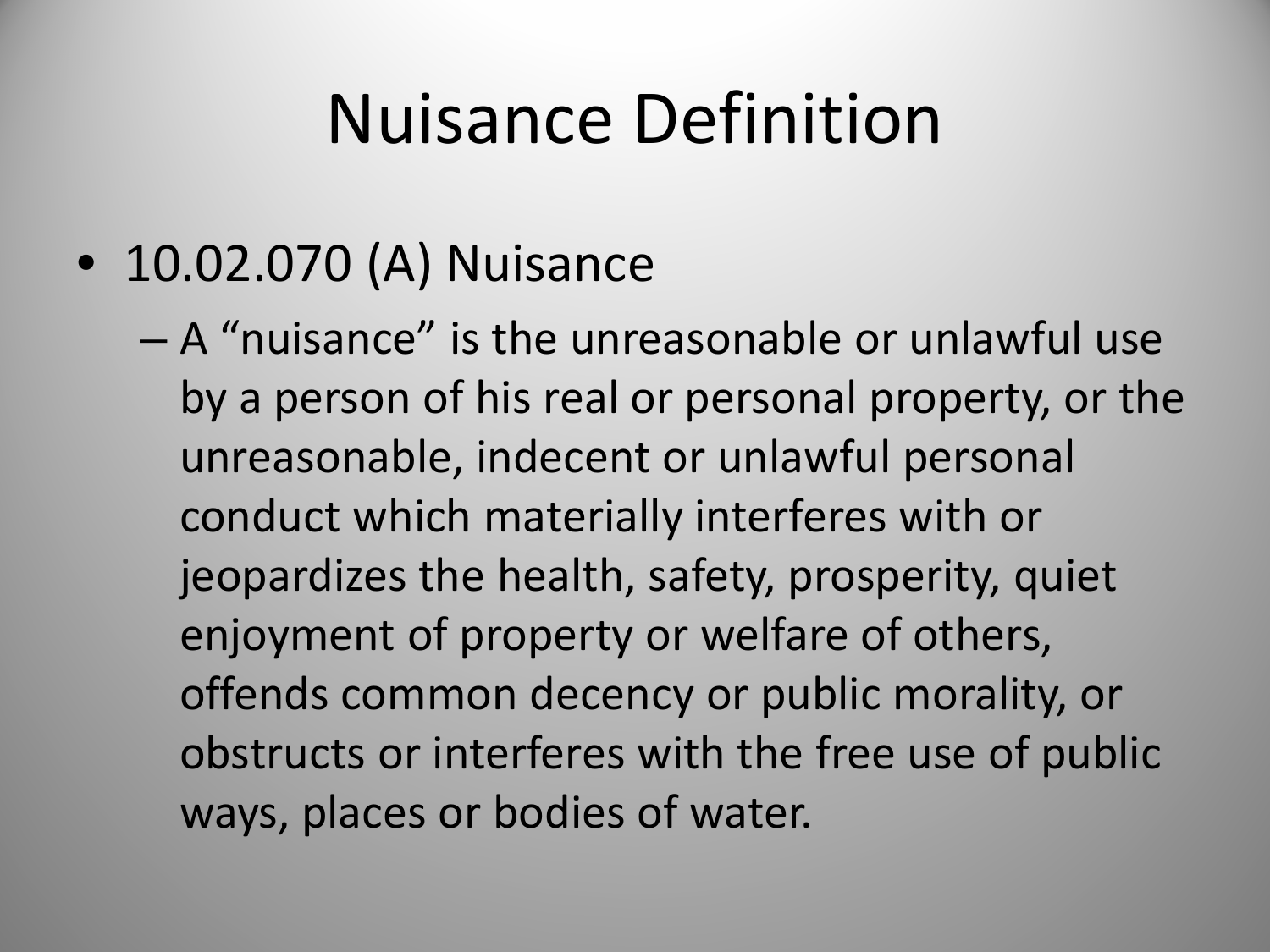#### Nuisance Definition

• 10.02.070 (A) Nuisance

– A "nuisance" is the unreasonable or unlawful use by a person of his real or personal property, or the unreasonable, indecent or unlawful personal conduct which materially interferes with or jeopardizes the health, safety, prosperity, quiet enjoyment of property or welfare of others, offends common decency or public morality, or obstructs or interferes with the free use of public ways, places or bodies of water.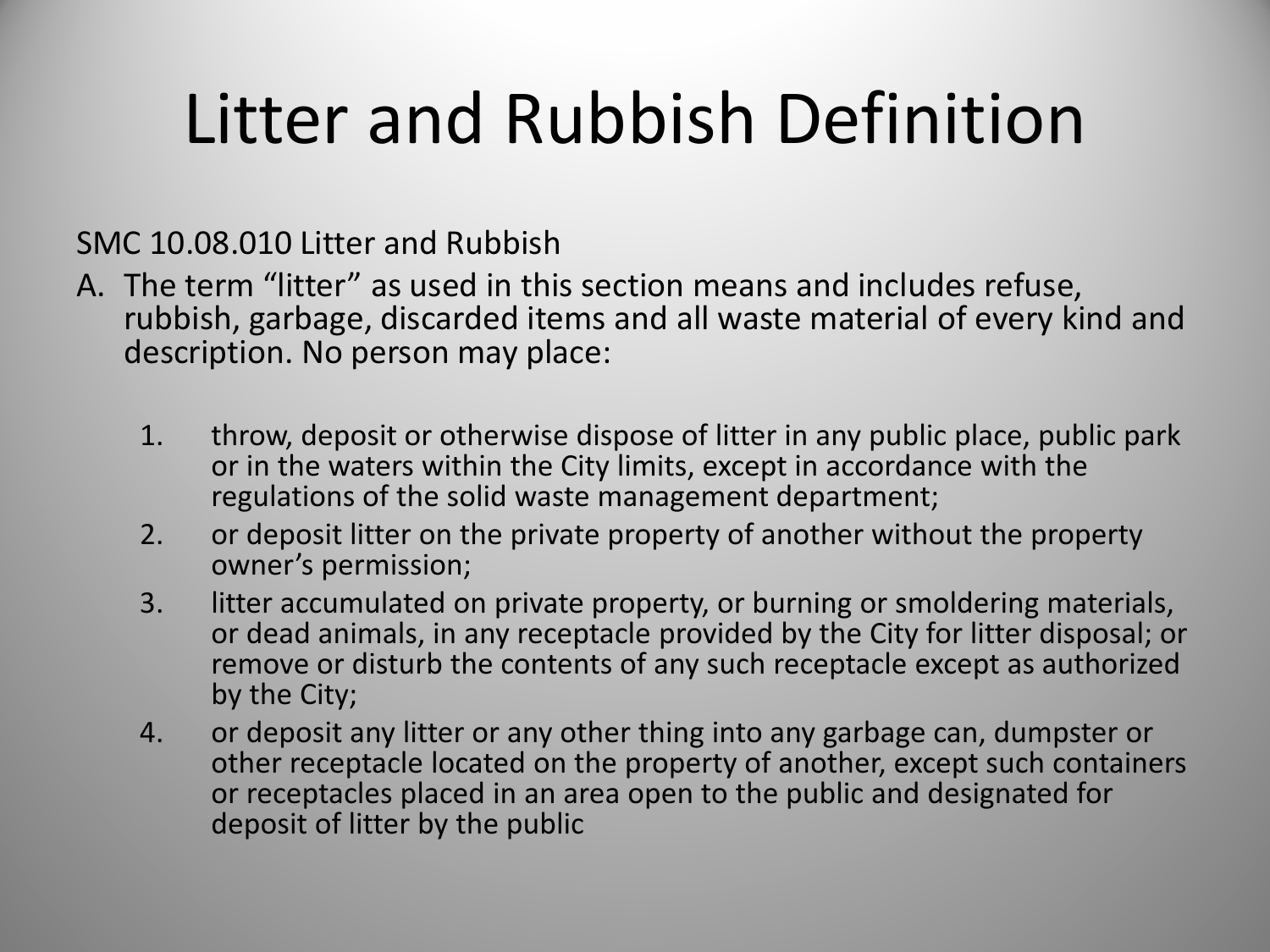# Litter and Rubbish Definition

SMC 10.08.010 Litter and Rubbish

- A. The term "litter" as used in this section means and includes refuse, rubbish, garbage, discarded items and all waste material of every kind and description. No person may place:
	- 1. throw, deposit or otherwise dispose of litter in any public place, public park or in the waters within the City limits, except in accordance with the regulations of the solid waste management department;
	- 2. or deposit litter on the private property of another without the property owner's permission;
	- 3. litter accumulated on private property, or burning or smoldering materials, or dead animals, in any receptacle provided by the City for litter disposal; or remove or disturb the contents of any such receptacle except as authorized by the City;
	- 4. or deposit any litter or any other thing into any garbage can, dumpster or other receptacle located on the property of another, except such containers or receptacles placed in an area open to the public and designated for deposit of litter by the public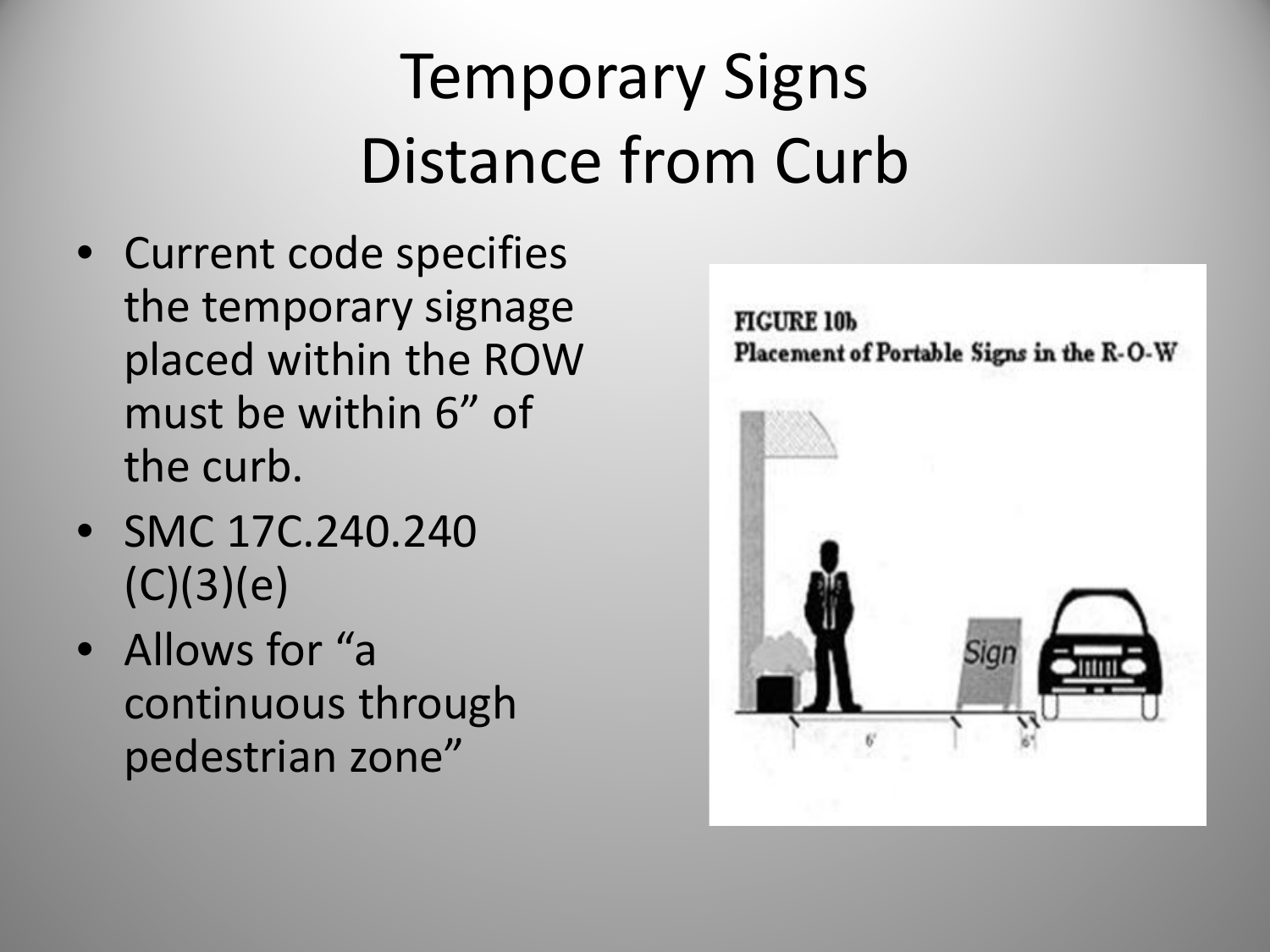#### Temporary Signs Distance from Curb

- Current code specifies the temporary signage placed within the ROW must be within 6" of the curb.
- SMC 17C.240.240  $(C)(3)(e)$
- Allows for "a continuous through pedestrian zone"

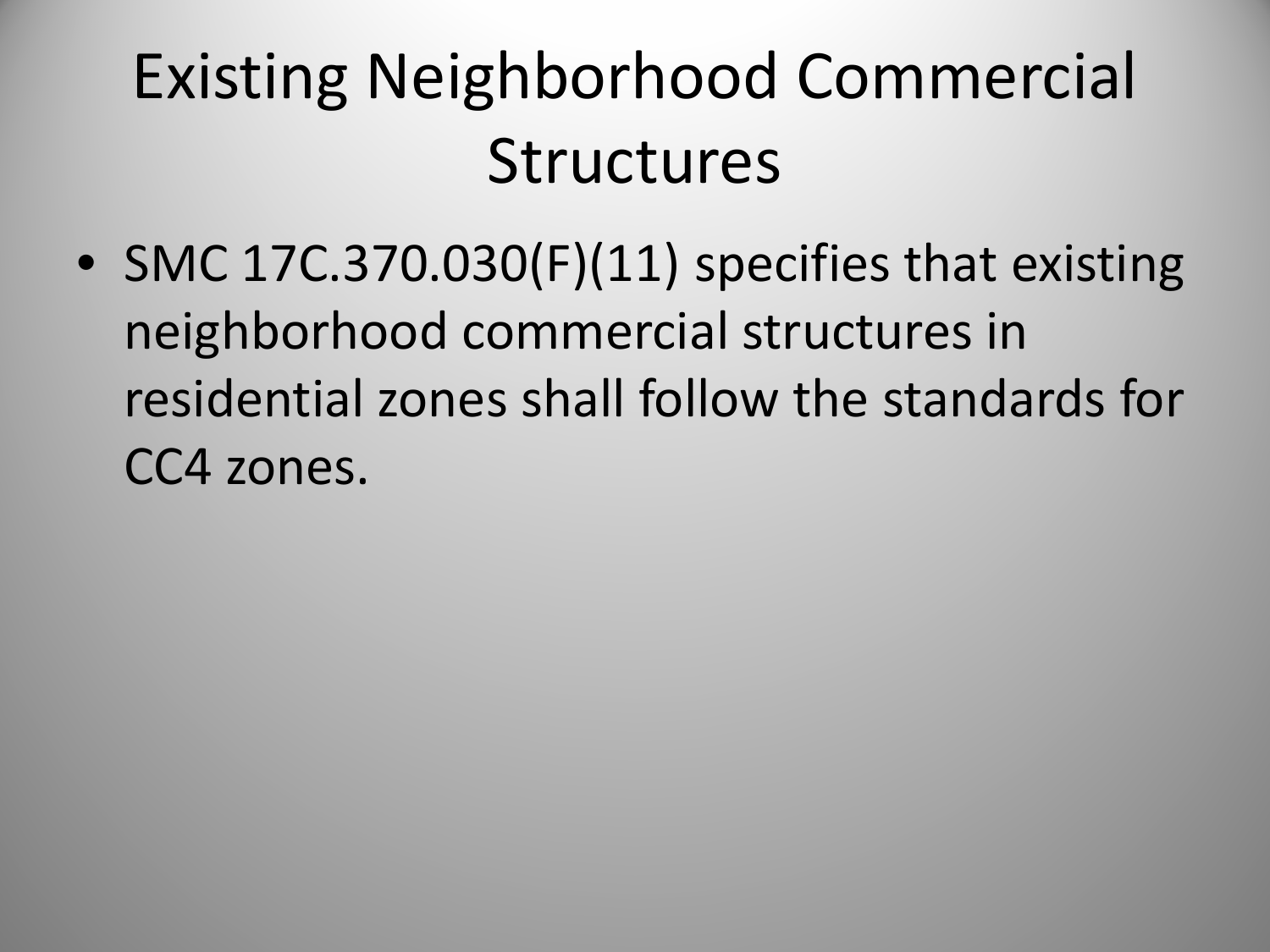#### Existing Neighborhood Commercial **Structures**

• SMC 17C.370.030(F)(11) specifies that existing neighborhood commercial structures in residential zones shall follow the standards for CC4 zones.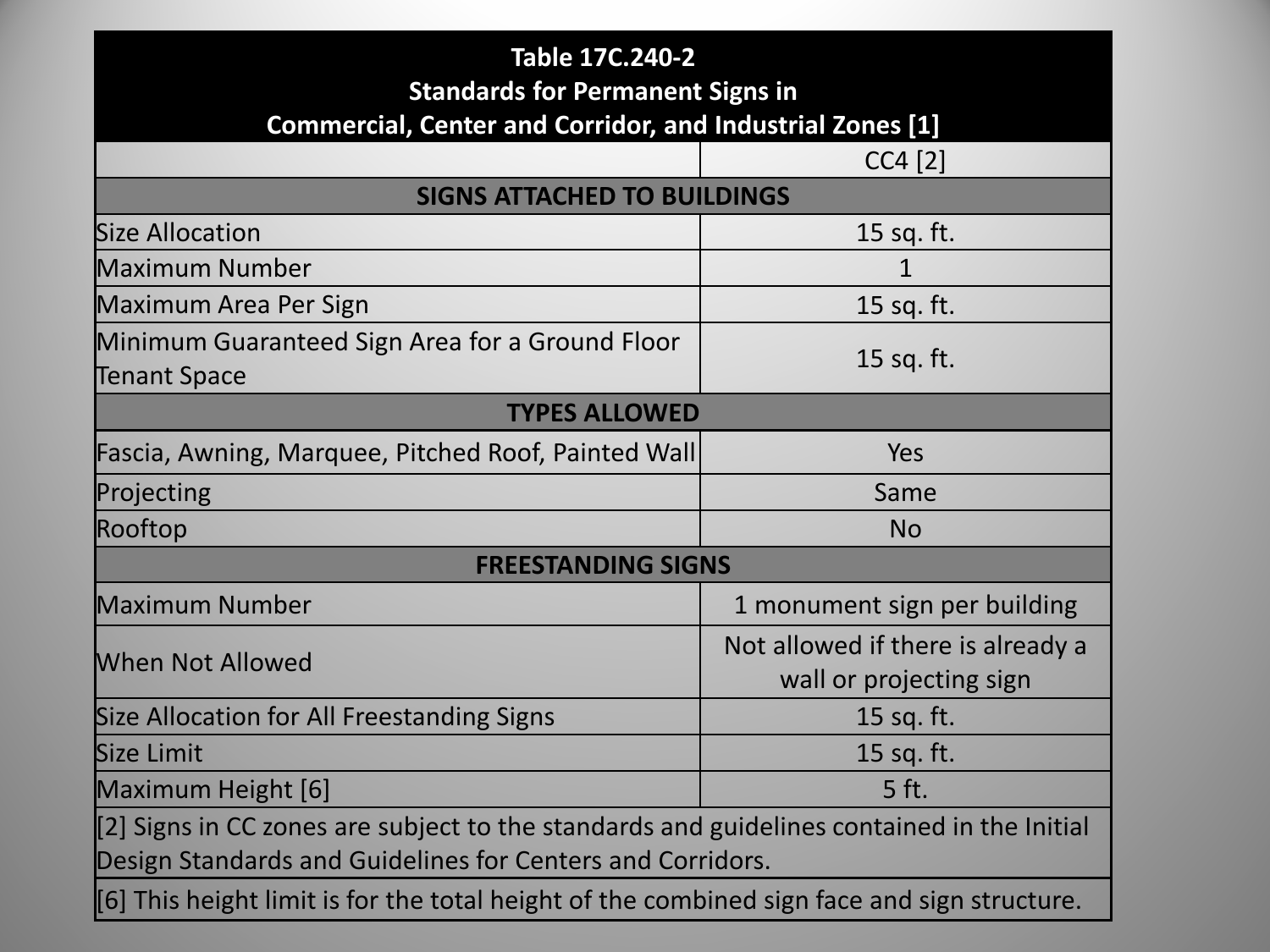| Table 17C.240-2<br><b>Standards for Permanent Signs in</b><br><b>Commercial, Center and Corridor, and Industrial Zones [1]</b>                           |                                                              |  |  |  |  |  |
|----------------------------------------------------------------------------------------------------------------------------------------------------------|--------------------------------------------------------------|--|--|--|--|--|
|                                                                                                                                                          | $CC4$ [2]                                                    |  |  |  |  |  |
| <b>SIGNS ATTACHED TO BUILDINGS</b>                                                                                                                       |                                                              |  |  |  |  |  |
| <b>Size Allocation</b>                                                                                                                                   | 15 sq. ft.                                                   |  |  |  |  |  |
| Maximum Number                                                                                                                                           | $\mathbf{1}$                                                 |  |  |  |  |  |
| Maximum Area Per Sign                                                                                                                                    | 15 sq. ft.                                                   |  |  |  |  |  |
| Minimum Guaranteed Sign Area for a Ground Floor<br>Tenant Space                                                                                          | 15 sq. ft.                                                   |  |  |  |  |  |
| <b>TYPES ALLOWED</b>                                                                                                                                     |                                                              |  |  |  |  |  |
| Fascia, Awning, Marquee, Pitched Roof, Painted Wall                                                                                                      | <b>Yes</b>                                                   |  |  |  |  |  |
| Projecting                                                                                                                                               | Same                                                         |  |  |  |  |  |
| Rooftop                                                                                                                                                  | <b>No</b>                                                    |  |  |  |  |  |
| <b>FREESTANDING SIGNS</b>                                                                                                                                |                                                              |  |  |  |  |  |
| <b>Maximum Number</b>                                                                                                                                    | 1 monument sign per building                                 |  |  |  |  |  |
| When Not Allowed                                                                                                                                         | Not allowed if there is already a<br>wall or projecting sign |  |  |  |  |  |
| Size Allocation for All Freestanding Signs                                                                                                               | 15 sq. ft.                                                   |  |  |  |  |  |
| Size Limit                                                                                                                                               | 15 sq. ft.                                                   |  |  |  |  |  |
| Maximum Height [6]                                                                                                                                       | 5 ft.                                                        |  |  |  |  |  |
| [2] Signs in CC zones are subject to the standards and guidelines contained in the Initial<br>Design Standards and Guidelines for Centers and Corridors. |                                                              |  |  |  |  |  |
| [6] This height limit is for the total height of the combined sign face and sign structure.                                                              |                                                              |  |  |  |  |  |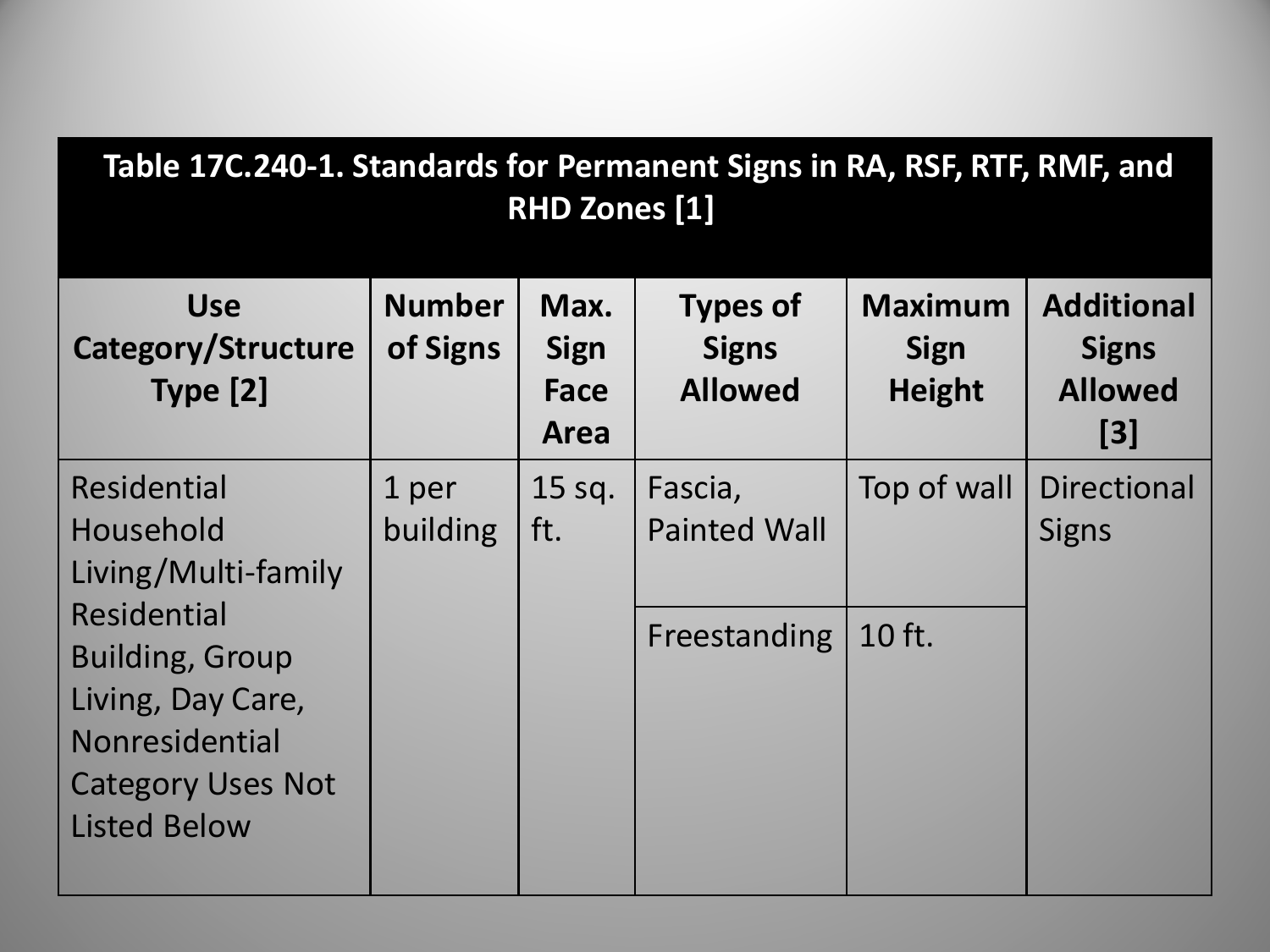| Table 17C.240-1. Standards for Permanent Signs in RA, RSF, RTF, RMF, and<br><b>RHD Zones [1]</b>                                |                           |                                     |                                                   |                                                |                                                            |  |
|---------------------------------------------------------------------------------------------------------------------------------|---------------------------|-------------------------------------|---------------------------------------------------|------------------------------------------------|------------------------------------------------------------|--|
| <b>Use</b><br>Category/Structure<br>Type [2]                                                                                    | <b>Number</b><br>of Signs | Max.<br><b>Sign</b><br>Face<br>Area | <b>Types of</b><br><b>Signs</b><br><b>Allowed</b> | <b>Maximum</b><br><b>Sign</b><br><b>Height</b> | <b>Additional</b><br><b>Signs</b><br><b>Allowed</b><br>[3] |  |
| <b>Residential</b><br>Household<br>Living/Multi-family                                                                          | 1 per<br>building         | 15 sq.<br>ft.                       | Fascia,<br><b>Painted Wall</b>                    | Top of wall                                    | <b>Directional</b><br><b>Signs</b>                         |  |
| Residential<br><b>Building, Group</b><br>Living, Day Care,<br>Nonresidential<br><b>Category Uses Not</b><br><b>Listed Below</b> |                           |                                     | Freestanding                                      | 10 ft.                                         |                                                            |  |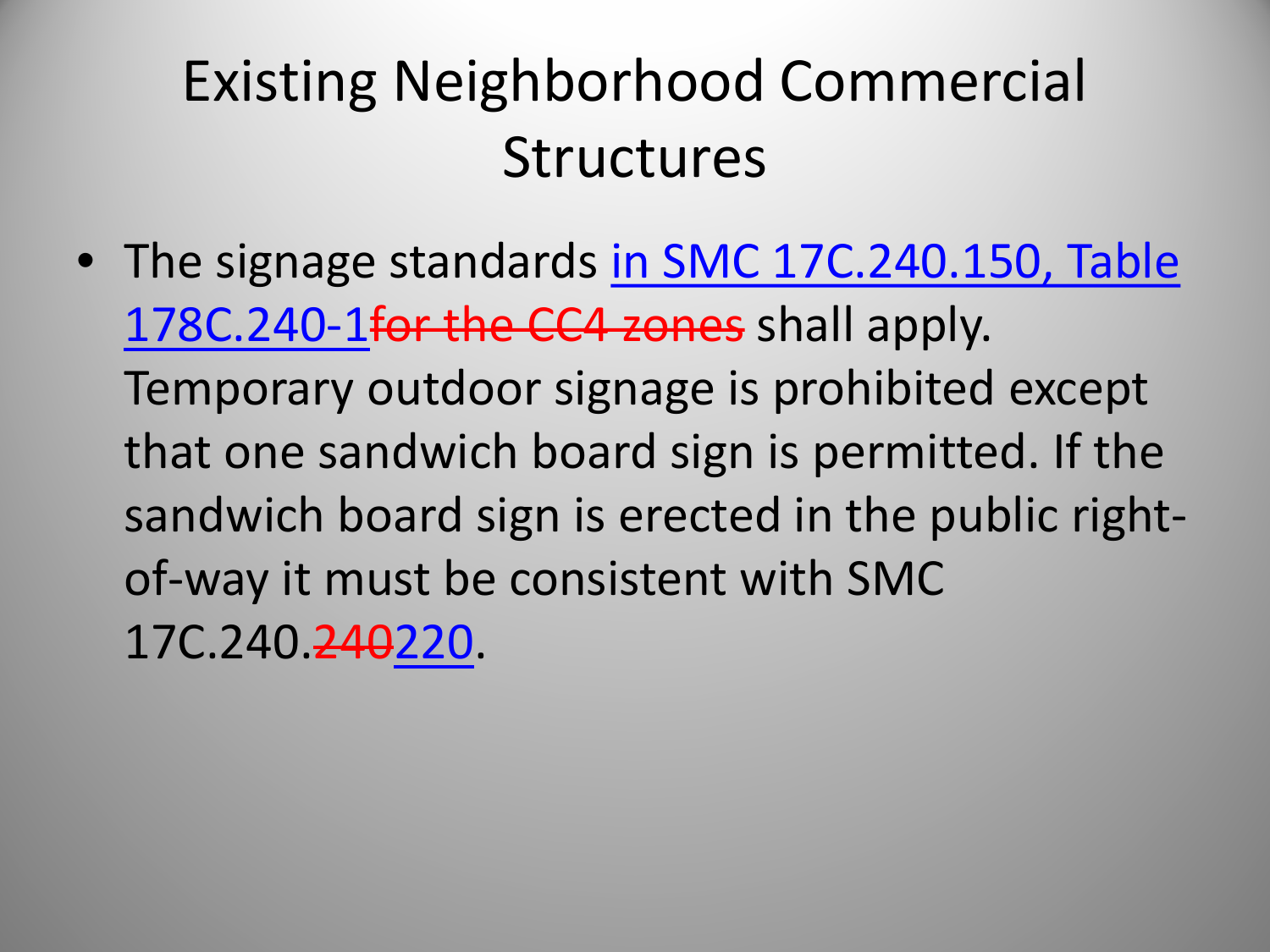#### Existing Neighborhood Commercial **Structures**

• The signage standards in SMC 17C.240.150, Table 178C.240-1for the CC4 zones shall apply. Temporary outdoor signage is prohibited except that one sandwich board sign is permitted. If the sandwich board sign is erected in the public rightof-way it must be consistent with SMC 17C.240.240220.